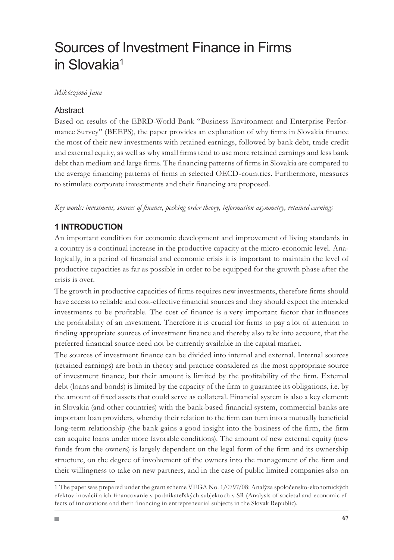# Sources of Investment Finance in Firms in Slovakia<sup>1</sup>

### *Mikócziová Jana*

### **Abstract**

Based on results of the EBRD-World Bank "Business Environment and Enterprise Performance Survey" (BEEPS), the paper provides an explanation of why firms in Slovakia finance the most of their new investments with retained earnings, followed by bank debt, trade credit and external equity, as well as why small firms tend to use more retained earnings and less bank debt than medium and large firms. The financing patterns of firms in Slovakia are compared to the average financing patterns of firms in selected OECD-countries. Furthermore, measures to stimulate corporate investments and their financing are proposed.

*Key words: investment, sources of finance, pecking order theory, information asymmetry, retained earnings*

### **1 INTRODUCTION**

An important condition for economic development and improvement of living standards in a country is a continual increase in the productive capacity at the micro-economic level. Analogically, in a period of financial and economic crisis it is important to maintain the level of productive capacities as far as possible in order to be equipped for the growth phase after the crisis is over.

The growth in productive capacities of firms requires new investments, therefore firms should have access to reliable and cost-effective financial sources and they should expect the intended investments to be profitable. The cost of finance is a very important factor that influences the profitability of an investment. Therefore it is crucial for firms to pay a lot of attention to finding appropriate sources of investment finance and thereby also take into account, that the preferred financial source need not be currently available in the capital market.

The sources of investment finance can be divided into internal and external. Internal sources (retained earnings) are both in theory and practice considered as the most appropriate source of investment finance, but their amount is limited by the profitability of the firm. External debt (loans and bonds) is limited by the capacity of the firm to guarantee its obligations, i.e. by the amount of fixed assets that could serve as collateral. Financial system is also a key element: in Slovakia (and other countries) with the bank-based financial system, commercial banks are important loan providers, whereby their relation to the firm can turn into a mutually beneficial long-term relationship (the bank gains a good insight into the business of the firm, the firm can acquire loans under more favorable conditions). The amount of new external equity (new funds from the owners) is largely dependent on the legal form of the firm and its ownership structure, on the degree of involvement of the owners into the management of the firm and their willingness to take on new partners, and in the case of public limited companies also on

The paper was prepared under the grant scheme VEGA No. 1/0797/08: Analýza spoločensko-ekonomických efektov inovácií a ich financovanie v podnikateľských subjektoch v SR (Analysis of societal and economic effects of innovations and their financing in entrepreneurial subjects in the Slovak Republic).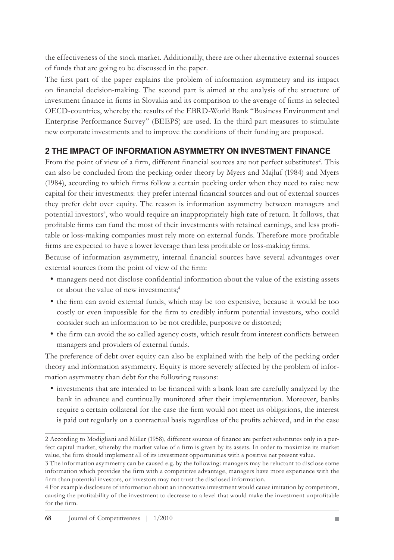the effectiveness of the stock market. Additionally, there are other alternative external sources of funds that are going to be discussed in the paper.

The first part of the paper explains the problem of information asymmetry and its impact on financial decision-making. The second part is aimed at the analysis of the structure of investment finance in firms in Slovakia and its comparison to the average of firms in selected OECD-countries, whereby the results of the EBRD-World Bank "Business Environment and Enterprise Performance Survey" (BEEPS) are used. In the third part measures to stimulate new corporate investments and to improve the conditions of their funding are proposed.

### **2 THE IMPACT OF INFORMATION ASYMMETRY ON INVESTMENT FINANCE**

From the point of view of a firm, different financial sources are not perfect substitutes<sup>2</sup>. This can also be concluded from the pecking order theory by Myers and Majluf (1984) and Myers (1984), according to which firms follow a certain pecking order when they need to raise new capital for their investments: they prefer internal financial sources and out of external sources they prefer debt over equity. The reason is information asymmetry between managers and potential investors<sup>3</sup>, who would require an inappropriately high rate of return. It follows, that profitable firms can fund the most of their investments with retained earnings, and less profitable or loss-making companies must rely more on external funds. Therefore more profitable firms are expected to have a lower leverage than less profitable or loss-making firms.

Because of information asymmetry, internal financial sources have several advantages over external sources from the point of view of the firm:

- managers need not disclose confidential information about the value of the existing assets or about the value of new investments;
- the firm can avoid external funds, which may be too expensive, because it would be too costly or even impossible for the firm to credibly inform potential investors, who could consider such an information to be not credible, purposive or distorted;
- the firm can avoid the so called agency costs, which result from interest conflicts between managers and providers of external funds.

The preference of debt over equity can also be explained with the help of the pecking order theory and information asymmetry. Equity is more severely affected by the problem of information asymmetry than debt for the following reasons:

investments that are intended to be financed with a bank loan are carefully analyzed by the bank in advance and continually monitored after their implementation. Moreover, banks require a certain collateral for the case the firm would not meet its obligations, the interest is paid out regularly on a contractual basis regardless of the profits achieved, and in the case

According to Modigliani and Miller (1958), different sources of finance are perfect substitutes only in a perfect capital market, whereby the market value of a firm is given by its assets. In order to maximize its market value, the firm should implement all of its investment opportunities with a positive net present value.

The information asymmetry can be caused e.g. by the following: managers may be reluctant to disclose some information which provides the firm with a competitive advantage, managers have more experience with the firm than potential investors, or investors may not trust the disclosed information.

For example disclosure of information about an innovative investment would cause imitation by competitors, causing the profitability of the investment to decrease to a level that would make the investment unprofitable for the firm.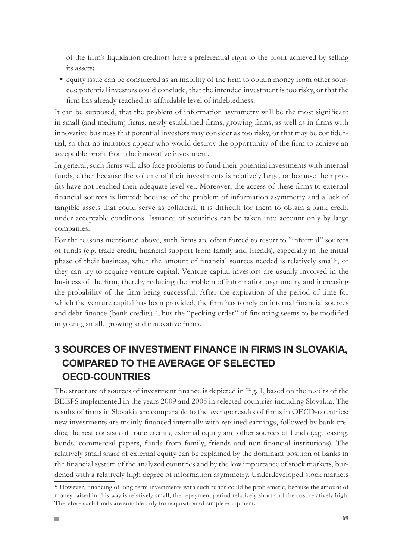of the firm's liquidation creditors have a preferential right to the profit achieved by selling its assets;

equity issue can be considered as an inability of the firm to obtain money from other sources: potential investors could conclude, that the intended investment is too risky, or that the firm has already reached its affordable level of indebtedness.

It can be supposed, that the problem of information asymmetry will be the most significant in small (and medium) firms, newly established firms, growing firms, as well as in firms with innovative business that potential investors may consider as too risky, or that may be confidential, so that no imitators appear who would destroy the opportunity of the firm to achieve an acceptable profit from the innovative investment.

In general, such firms will also face problems to fund their potential investments with internal funds, either because the volume of their investments is relatively large, or because their profits have not reached their adequate level yet. Moreover, the access of these firms to external financial sources is limited: because of the problem of information asymmetry and a lack of tangible assets that could serve as collateral, it is difficult for them to obtain a bank credit under acceptable conditions. Issuance of securities can be taken into account only by large companies.

For the reasons mentioned above, such firms are often forced to resort to "informal" sources of funds (e.g. trade credit, financial support from family and friends), especially in the initial phase of their business, when the amount of financial sources needed is relatively small<sup>5</sup>, or they can try to acquire venture capital. Venture capital investors are usually involved in the business of the firm, thereby reducing the problem of information asymmetry and increasing the probability of the firm being successful. After the expiration of the period of time for which the venture capital has been provided, the firm has to rely on internal financial sources and debt finance (bank credits). Thus the "pecking order" of financing seems to be modified in young, small, growing and innovative firms.

# **3 SOURCES OF INVESTMENT FINANCE IN FIRMS IN SLOVAKIA, COMPARED TO THE AVERAGE OF SELECTED OECD-COUNTRIES**

The structure of sources of investment finance is depicted in Fig. 1, based on the results of the BEEPS implemented in the years 2009 and 2005 in selected countries including Slovakia. The results of firms in Slovakia are comparable to the average results of firms in OECD-countries: new investments are mainly financed internally with retained earnings, followed by bank credits; the rest consists of trade credits, external equity and other sources of funds (e.g. leasing, bonds, commercial papers, funds from family, friends and non-financial institutions). The relatively small share of external equity can be explained by the dominant position of banks in the financial system of the analyzed countries and by the low importance of stock markets, burdened with a relatively high degree of information asymmetry. Underdeveloped stock markets

However, financing of long-term investments with such funds could be problematic, because the amount of money raised in this way is relatively small, the repayment period relatively short and the cost relatively high. Therefore such funds are suitable only for acquisition of simple equipment.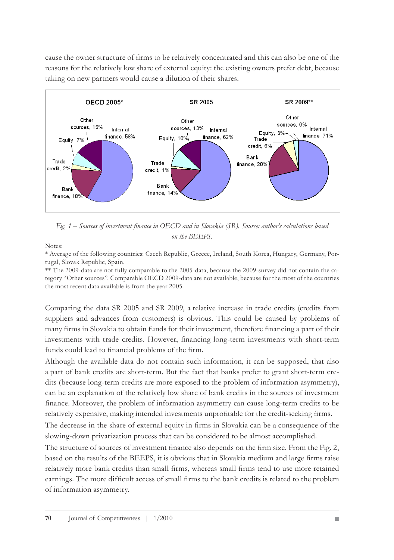cause the owner structure of firms to be relatively concentrated and this can also be one of the reasons for the relatively low share of external equity: the existing owners prefer debt, because taking on new partners would cause a dilution of their shares.



*Fig. 1 – Sources of investment finance in OECD and in Slovakia (SR). Source: author's calculations based on the BEEPS.*

Notes:

\* Average of the following countries: Czech Republic, Greece, Ireland, South Korea, Hungary, Germany, Portugal, Slovak Republic, Spain.

\*\* The 2009-data are not fully comparable to the 2005-data, because the 2009-survey did not contain the category "Other sources". Comparable OECD 2009-data are not available, because for the most of the countries the most recent data available is from the year 2005.

Comparing the data SR 2005 and SR 2009, a relative increase in trade credits (credits from suppliers and advances from customers) is obvious. This could be caused by problems of many firms in Slovakia to obtain funds for their investment, therefore financing a part of their investments with trade credits. However, financing long-term investments with short-term funds could lead to financial problems of the firm.

Although the available data do not contain such information, it can be supposed, that also a part of bank credits are short-term. But the fact that banks prefer to grant short-term credits (because long-term credits are more exposed to the problem of information asymmetry), can be an explanation of the relatively low share of bank credits in the sources of investment finance. Moreover, the problem of information asymmetry can cause long-term credits to be relatively expensive, making intended investments unprofitable for the credit-seeking firms.

The decrease in the share of external equity in firms in Slovakia can be a consequence of the slowing-down privatization process that can be considered to be almost accomplished.

The structure of sources of investment finance also depends on the firm size. From the Fig. 2, based on the results of the BEEPS, it is obvious that in Slovakia medium and large firms raise relatively more bank credits than small firms, whereas small firms tend to use more retained earnings. The more difficult access of small firms to the bank credits is related to the problem of information asymmetry.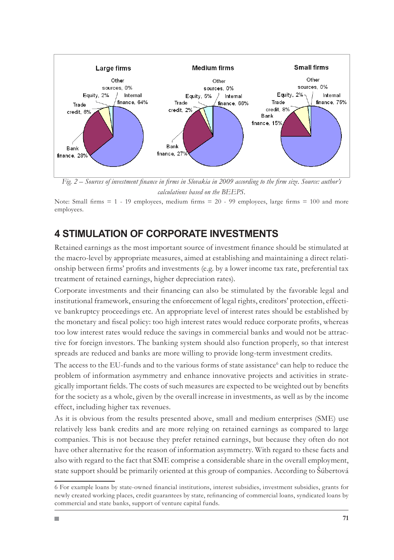

*Fig. 2 – Sources of investment finance in firms in Slovakia in 2009 according to the firm size. Source: author's calculations based on the BEEPS.*

Note: Small firms  $= 1 - 19$  employees, medium firms  $= 20 - 99$  employees, large firms  $= 100$  and more employees.

## **4 STIMULATION OF CORPORATE INVESTMENTS**

Retained earnings as the most important source of investment finance should be stimulated at the macro-level by appropriate measures, aimed at establishing and maintaining a direct relationship between firms' profits and investments (e.g. by a lower income tax rate, preferential tax treatment of retained earnings, higher depreciation rates).

Corporate investments and their financing can also be stimulated by the favorable legal and institutional framework, ensuring the enforcement of legal rights, creditors' protection, effective bankruptcy proceedings etc. An appropriate level of interest rates should be established by the monetary and fiscal policy: too high interest rates would reduce corporate profits, whereas too low interest rates would reduce the savings in commercial banks and would not be attractive for foreign investors. The banking system should also function properly, so that interest spreads are reduced and banks are more willing to provide long-term investment credits.

The access to the EU-funds and to the various forms of state assistance<sup>6</sup> can help to reduce the problem of information asymmetry and enhance innovative projects and activities in strategically important fields. The costs of such measures are expected to be weighted out by benefits for the society as a whole, given by the overall increase in investments, as well as by the income effect, including higher tax revenues.

As it is obvious from the results presented above, small and medium enterprises (SME) use relatively less bank credits and are more relying on retained earnings as compared to large companies. This is not because they prefer retained earnings, but because they often do not have other alternative for the reason of information asymmetry. With regard to these facts and also with regard to the fact that SME comprise a considerable share in the overall employment, state support should be primarily oriented at this group of companies. According to Šúbertová

For example loans by state-owned financial institutions, interest subsidies, investment subsidies, grants for newly created working places, credit guarantees by state, refinancing of commercial loans, syndicated loans by commercial and state banks, support of venture capital funds.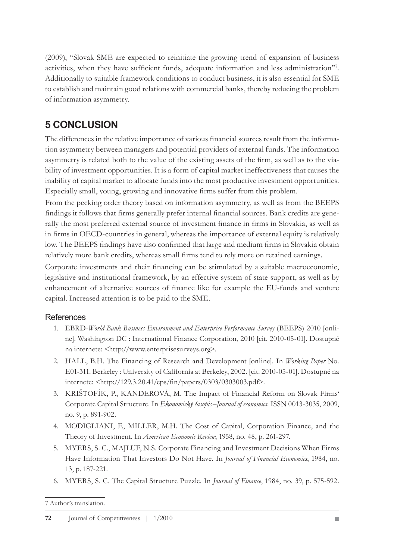(2009), "Slovak SME are expected to reinitiate the growing trend of expansion of business activities, when they have sufficient funds, adequate information and less administration" . Additionally to suitable framework conditions to conduct business, it is also essential for SME to establish and maintain good relations with commercial banks, thereby reducing the problem of information asymmetry.

## **5 CONCLUSION**

The differences in the relative importance of various financial sources result from the information asymmetry between managers and potential providers of external funds. The information asymmetry is related both to the value of the existing assets of the firm, as well as to the viability of investment opportunities. It is a form of capital market ineffectiveness that causes the inability of capital market to allocate funds into the most productive investment opportunities. Especially small, young, growing and innovative firms suffer from this problem.

From the pecking order theory based on information asymmetry, as well as from the BEEPS findings it follows that firms generally prefer internal financial sources. Bank credits are generally the most preferred external source of investment finance in firms in Slovakia, as well as in firms in OECD-countries in general, whereas the importance of external equity is relatively low. The BEEPS findings have also confirmed that large and medium firms in Slovakia obtain relatively more bank credits, whereas small firms tend to rely more on retained earnings.

Corporate investments and their financing can be stimulated by a suitable macroeconomic, legislative and institutional framework, by an effective system of state support, as well as by enhancement of alternative sources of finance like for example the EU-funds and venture capital. Increased attention is to be paid to the SME.

### References

- EBRD-*World Bank Business Environment and Enterprise Performance Survey* (BEEPS) 2010 [onli-1. ne]. Washington DC : International Finance Corporation, 2010 [cit. 2010-05-01]. Dostupné na internete: <http://www.enterprisesurveys.org>.
- HALL, B.H. The Financing of Research and Development [online]. In *Working Paper* No. 2. E01-311. Berkeley : University of California at Berkeley, 2002. [cit. 2010-05-01]. Dostupné na internete: <http://129.3.20.41/eps/fin/papers/0303/0303003.pdf>.
- KRIŠTOFÍK, P., KANDEROVÁ, M. The Impact of Financial Reform on Slovak Firms' 3. Corporate Capital Structure. In *Ekonomický časopis=Journal of economics*. ISSN 0013-3035, 2009, no. 9, p. 891-902.
- 4. MODIGLIANI, F., MILLER, M.H. The Cost of Capital, Corporation Finance, and the Theory of Investment. In *American Economic Review*, 1958, no. 48, p. 261-297.
- MYERS, S. C., MAJLUF, N.S. Corporate Financing and Investment Decisions When Firms 5. Have Information That Investors Do Not Have. In *Journal of Financial Economics*, 1984, no. 13, p. 187-221.
- MYERS, S. C. The Capital Structure Puzzle. In *Journal of Finance*, 1984, no. 39, p. 575-592. 6.

Author's translation.